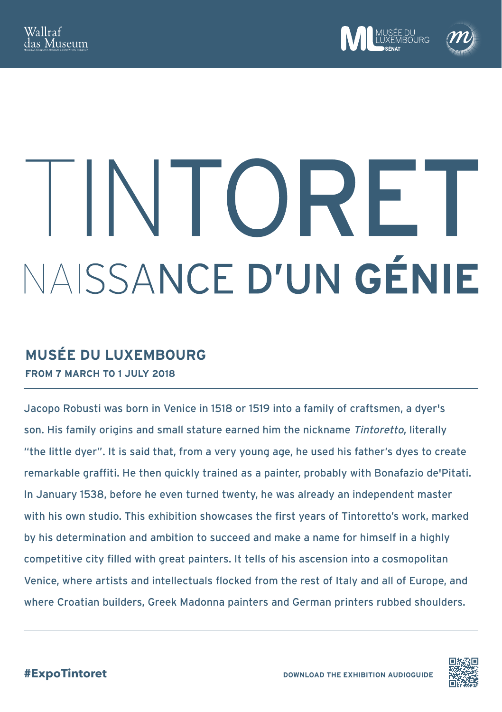



# IN IORF NAISSANCE D'UN GÉNIE

# **MUSÉE DU LUXEMBOURG**

**FROM 7 MARCH TO 1 JULY 2018**

Jacopo Robusti was born in Venice in 1518 or 1519 into a family of craftsmen, a dyer's son. His family origins and small stature earned him the nickname Tintoretto, literally "the little dyer". It is said that, from a very young age, he used his father's dyes to create remarkable graffiti. He then quickly trained as a painter, probably with Bonafazio de'Pitati. In January 1538, before he even turned twenty, he was already an independent master with his own studio. This exhibition showcases the first years of Tintoretto's work, marked by his determination and ambition to succeed and make a name for himself in a highly competitive city filled with great painters. It tells of his ascension into a cosmopolitan Venice, where artists and intellectuals flocked from the rest of Italy and all of Europe, and where Croatian builders, Greek Madonna painters and German printers rubbed shoulders.

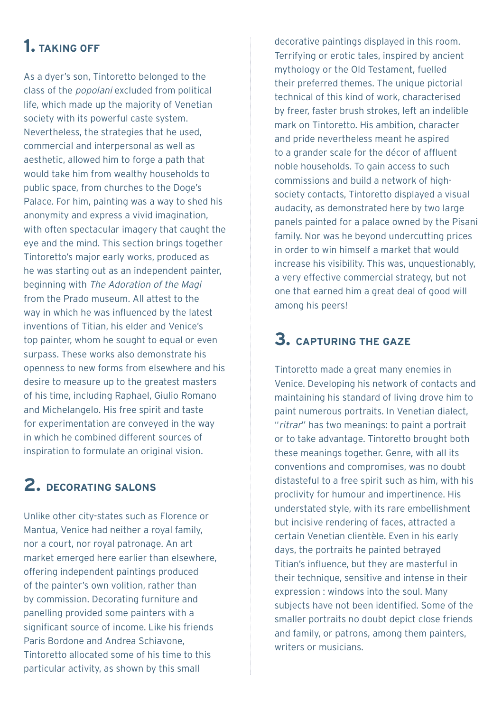# **1. TAKING OFF**

As a dyer's son, Tintoretto belonged to the class of the popolani excluded from political life, which made up the majority of Venetian society with its powerful caste system. Nevertheless, the strategies that he used, commercial and interpersonal as well as aesthetic, allowed him to forge a path that would take him from wealthy households to public space, from churches to the Doge's Palace. For him, painting was a way to shed his anonymity and express a vivid imagination, with often spectacular imagery that caught the eye and the mind. This section brings together Tintoretto's major early works, produced as he was starting out as an independent painter, beginning with The Adoration of the Magi from the Prado museum. All attest to the way in which he was influenced by the latest inventions of Titian, his elder and Venice's top painter, whom he sought to equal or even surpass. These works also demonstrate his openness to new forms from elsewhere and his desire to measure up to the greatest masters of his time, including Raphael, Giulio Romano and Michelangelo. His free spirit and taste for experimentation are conveyed in the way in which he combined different sources of inspiration to formulate an original vision.

## **2. DECORATING SALONS**

Unlike other city-states such as Florence or Mantua, Venice had neither a royal family, nor a court, nor royal patronage. An art market emerged here earlier than elsewhere, offering independent paintings produced of the painter's own volition, rather than by commission. Decorating furniture and panelling provided some painters with a significant source of income. Like his friends Paris Bordone and Andrea Schiavone, Tintoretto allocated some of his time to this particular activity, as shown by this small

decorative paintings displayed in this room. Terrifying or erotic tales, inspired by ancient mythology or the Old Testament, fuelled their preferred themes. The unique pictorial technical of this kind of work, characterised by freer, faster brush strokes, left an indelible mark on Tintoretto. His ambition, character and pride nevertheless meant he aspired to a grander scale for the décor of affluent noble households. To gain access to such commissions and build a network of highsociety contacts, Tintoretto displayed a visual audacity, as demonstrated here by two large panels painted for a palace owned by the Pisani family. Nor was he beyond undercutting prices in order to win himself a market that would increase his visibility. This was, unquestionably, a very effective commercial strategy, but not one that earned him a great deal of good will among his peers!

## **3. CAPTURING THE GAZE**

Tintoretto made a great many enemies in Venice. Developing his network of contacts and maintaining his standard of living drove him to paint numerous portraits. In Venetian dialect, "ritrar" has two meanings: to paint a portrait or to take advantage. Tintoretto brought both these meanings together. Genre, with all its conventions and compromises, was no doubt distasteful to a free spirit such as him, with his proclivity for humour and impertinence. His understated style, with its rare embellishment but incisive rendering of faces, attracted a certain Venetian clientèle. Even in his early days, the portraits he painted betrayed Titian's influence, but they are masterful in their technique, sensitive and intense in their expression : windows into the soul. Many subjects have not been identified. Some of the smaller portraits no doubt depict close friends and family, or patrons, among them painters, writers or musicians.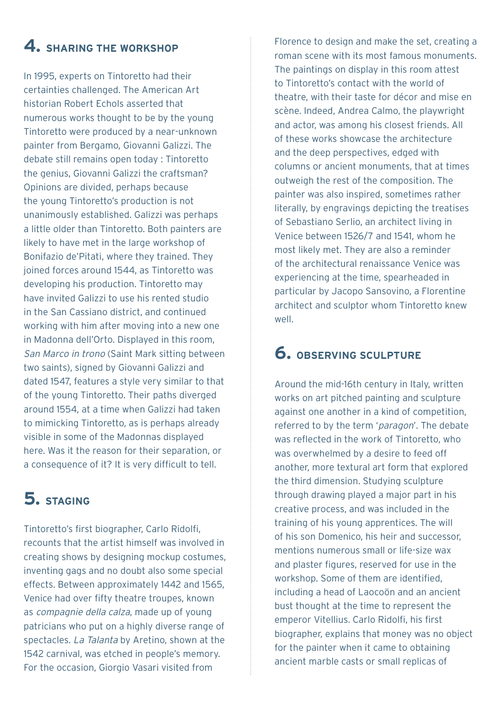# **4. SHARING THE WORKSHOP**

In 1995, experts on Tintoretto had their certainties challenged. The American Art historian Robert Echols asserted that numerous works thought to be by the young Tintoretto were produced by a near-unknown painter from Bergamo, Giovanni Galizzi. The debate still remains open today : Tintoretto the genius, Giovanni Galizzi the craftsman? Opinions are divided, perhaps because the young Tintoretto's production is not unanimously established. Galizzi was perhaps a little older than Tintoretto. Both painters are likely to have met in the large workshop of Bonifazio de'Pitati, where they trained. They joined forces around 1544, as Tintoretto was developing his production. Tintoretto may have invited Galizzi to use his rented studio in the San Cassiano district, and continued working with him after moving into a new one in Madonna dell'Orto. Displayed in this room, San Marco in trono (Saint Mark sitting between two saints), signed by Giovanni Galizzi and dated 1547, features a style very similar to that of the young Tintoretto. Their paths diverged around 1554, at a time when Galizzi had taken to mimicking Tintoretto, as is perhaps already visible in some of the Madonnas displayed here. Was it the reason for their separation, or a consequence of it? It is very difficult to tell.

## **5. STAGING**

Tintoretto's first biographer, Carlo Ridolfi, recounts that the artist himself was involved in creating shows by designing mockup costumes, inventing gags and no doubt also some special effects. Between approximately 1442 and 1565, Venice had over fifty theatre troupes, known as compagnie della calza, made up of young patricians who put on a highly diverse range of spectacles. La Talanta by Aretino, shown at the 1542 carnival, was etched in people's memory. For the occasion, Giorgio Vasari visited from

Florence to design and make the set, creating a roman scene with its most famous monuments. The paintings on display in this room attest to Tintoretto's contact with the world of theatre, with their taste for décor and mise en scène. Indeed, Andrea Calmo, the playwright and actor, was among his closest friends. All of these works showcase the architecture and the deep perspectives, edged with columns or ancient monuments, that at times outweigh the rest of the composition. The painter was also inspired, sometimes rather literally, by engravings depicting the treatises of Sebastiano Serlio, an architect living in Venice between 1526/7 and 1541, whom he most likely met. They are also a reminder of the architectural renaissance Venice was experiencing at the time, spearheaded in particular by Jacopo Sansovino, a Florentine architect and sculptor whom Tintoretto knew well.

## **6. OBSERVING SCULPTURE**

Around the mid-16th century in Italy, written works on art pitched painting and sculpture against one another in a kind of competition, referred to by the term 'paragon'. The debate was reflected in the work of Tintoretto, who was overwhelmed by a desire to feed off another, more textural art form that explored the third dimension. Studying sculpture through drawing played a major part in his creative process, and was included in the training of his young apprentices. The will of his son Domenico, his heir and successor, mentions numerous small or life-size wax and plaster figures, reserved for use in the workshop. Some of them are identified, including a head of Laocoön and an ancient bust thought at the time to represent the emperor Vitellius. Carlo Ridolfi, his first biographer, explains that money was no object for the painter when it came to obtaining ancient marble casts or small replicas of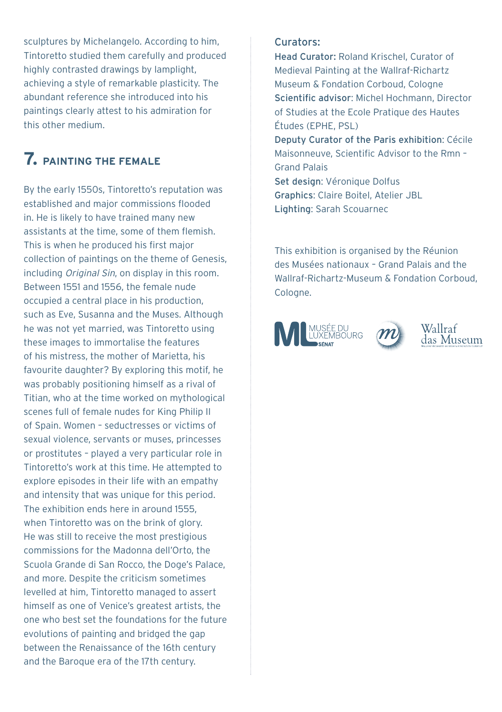sculptures by Michelangelo. According to him, Tintoretto studied them carefully and produced highly contrasted drawings by lamplight, achieving a style of remarkable plasticity. The abundant reference she introduced into his paintings clearly attest to his admiration for this other medium.

## **7. PAINTING THE FEMALE**

By the early 1550s, Tintoretto's reputation was established and major commissions flooded in. He is likely to have trained many new assistants at the time, some of them flemish. This is when he produced his first major collection of paintings on the theme of Genesis, including *Original Sin*, on display in this room. Between 1551 and 1556, the female nude occupied a central place in his production, such as Eve, Susanna and the Muses. Although he was not yet married, was Tintoretto using these images to immortalise the features of his mistress, the mother of Marietta, his favourite daughter? By exploring this motif, he was probably positioning himself as a rival of Titian, who at the time worked on mythological scenes full of female nudes for King Philip II of Spain. Women – seductresses or victims of sexual violence, servants or muses, princesses or prostitutes – played a very particular role in Tintoretto's work at this time. He attempted to explore episodes in their life with an empathy and intensity that was unique for this period. The exhibition ends here in around 1555, when Tintoretto was on the brink of glory. He was still to receive the most prestigious commissions for the Madonna dell'Orto, the Scuola Grande di San Rocco, the Doge's Palace, and more. Despite the criticism sometimes levelled at him, Tintoretto managed to assert himself as one of Venice's greatest artists, the one who best set the foundations for the future evolutions of painting and bridged the gap between the Renaissance of the 16th century and the Baroque era of the 17th century.

#### Curators:

Head Curator: Roland Krischel, Curator of Medieval Painting at the Wallraf-Richartz Museum & Fondation Corboud, Cologne Scientific advisor: Michel Hochmann, Director of Studies at the Ecole Pratique des Hautes Études (EPHE, PSL)

Deputy Curator of the Paris exhibition: Cécile Maisonneuve, Scientific Advisor to the Rmn – Grand Palais Set design: Véronique Dolfus Graphics: Claire Boitel, Atelier JBL Lighting: Sarah Scouarnec

This exhibition is organised by the Réunion des Musées nationaux – Grand Palais and the Wallraf-Richartz-Museum & Fondation Corboud, Cologne.

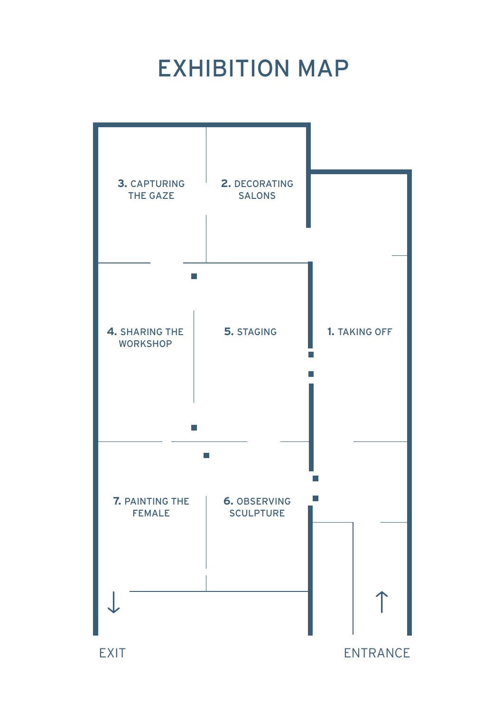# EXHIBITION MAP

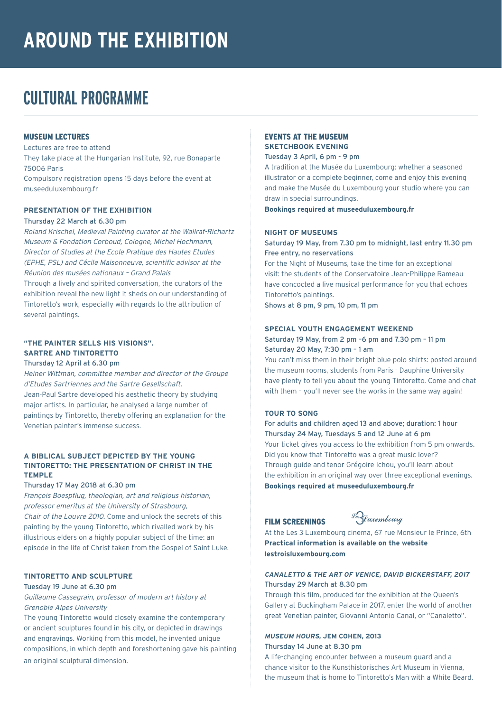# **AROUND THE EXHIBITION**

# **CULTURAL PROGRAMME**

#### MUSEUM LECTURES

Lectures are free to attend

They take place at the Hungarian Institute, 92, rue Bonaparte 75006 Paris Compulsory registration opens 15 days before the event at

museeduluxembourg.fr

#### **PRESENTATION OF THE EXHIBITION**

#### Thursday 22 March at 6.30 pm

Roland Krischel, Medieval Painting curator at the Wallraf-Richartz Museum & Fondation Corboud, Cologne, Michel Hochmann, Director of Studies at the Ecole Pratique des Hautes Etudes (EPHE, PSL) and Cécile Maisonneuve, scientific advisor at the Réunion des musées nationaux – Grand Palais

Through a lively and spirited conversation, the curators of the exhibition reveal the new light it sheds on our understanding of Tintoretto's work, especially with regards to the attribution of several paintings.

#### **"THE PAINTER SELLS HIS VISIONS". SARTRE AND TINTORETTO**

#### Thursday 12 April at 6.30 pm

Heiner Wittman, committee member and director of the Groupe d'Etudes Sartriennes and the Sartre Gesellschaft. Jean-Paul Sartre developed his aesthetic theory by studying major artists. In particular, he analysed a large number of paintings by Tintoretto, thereby offering an explanation for the Venetian painter's immense success.

#### **A BIBLICAL SUBJECT DEPICTED BY THE YOUNG TINTORETTO: THE PRESENTATION OF CHRIST IN THE TEMPLE**

#### Thursday 17 May 2018 at 6.30 pm

François Boespflug, theologian, art and religious historian, professor emeritus at the University of Strasbourg, Chair of the Louvre 2010. Come and unlock the secrets of this painting by the young Tintoretto, which rivalled work by his illustrious elders on a highly popular subject of the time: an episode in the life of Christ taken from the Gospel of Saint Luke.

#### **TINTORETTO AND SCULPTURE**

#### Tuesday 19 June at 6.30 pm

Guillaume Cassegrain, professor of modern art history at Grenoble Alpes University

The young Tintoretto would closely examine the contemporary or ancient sculptures found in his city, or depicted in drawings and engravings. Working from this model, he invented unique compositions, in which depth and foreshortening gave his painting an original sculptural dimension.

#### EVENTS AT THE MUSEUM **SKETCHBOOK EVENING**

Tuesday 3 April, 6 pm - 9 pm

A tradition at the Musée du Luxembourg: whether a seasoned illustrator or a complete beginner, come and enjoy this evening and make the Musée du Luxembourg your studio where you can draw in special surroundings.

**Bookings required at museeduluxembourg.fr**

#### **NIGHT OF MUSEUMS**

Saturday 19 May, from 7.30 pm to midnight, last entry 11.30 pm Free entry, no reservations

For the Night of Museums, take the time for an exceptional visit: the students of the Conservatoire Jean-Philippe Rameau have concocted a live musical performance for you that echoes Tintoretto's paintings.

Shows at 8 pm, 9 pm, 10 pm, 11 pm

#### **SPECIAL YOUTH ENGAGEMENT WEEKEND**

#### Saturday 19 May, from 2 pm –6 pm and 7.30 pm – 11 pm Saturday 20 May, 7:30 pm – 1 am

You can't miss them in their bright blue polo shirts: posted around the museum rooms, students from Paris - Dauphine University have plenty to tell you about the young Tintoretto. Come and chat with them – you'll never see the works in the same way again!

#### **TOUR TO SONG**

For adults and children aged 13 and above; duration: 1 hour Thursday 24 May, Tuesdays 5 and 12 June at 6 pm Your ticket gives you access to the exhibition from 5 pm onwards. Did you know that Tintoretto was a great music lover? Through guide and tenor Grégoire Ichou, you'll learn about the exhibition in an original way over three exceptional evenings. **Bookings required at museeduluxembourg.fr**

#### FILM SCREENINGS



At the Les 3 Luxembourg cinema, 67 rue Monsieur le Prince, 6th **Practical information is available on the website lestroisluxembourg.com**

#### **CANALETTO & THE ART OF VENICE, DAVID BICKERSTAFF, 2017** Thursday 29 March at 8.30 pm

Through this film, produced for the exhibition at the Queen's Gallery at Buckingham Palace in 2017, enter the world of another great Venetian painter, Giovanni Antonio Canal, or "Canaletto".

#### **MUSEUM HOURS, JEM COHEN, 2013**

Thursday 14 June at 8.30 pm A life-changing encounter between a museum guard and a chance visitor to the Kunsthistorisches Art Museum in Vienna, the museum that is home to Tintoretto's Man with a White Beard.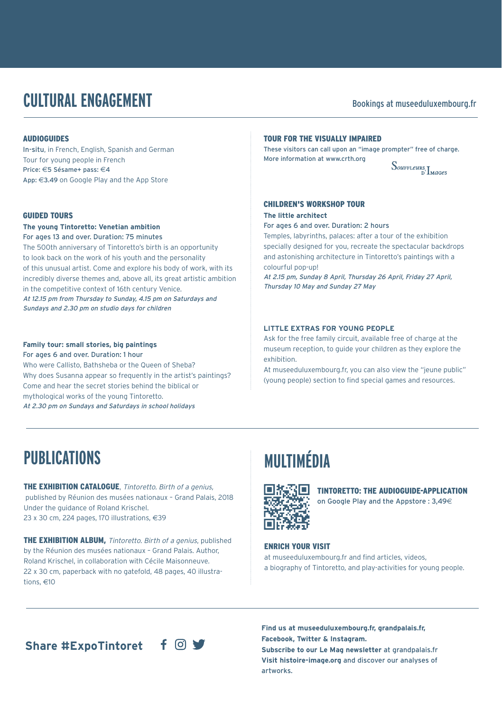# **CULTURAL ENGAGEMENT** Bookings at museeduluxembourg.fr

#### **AUDIOGUIDES**

In-situ, in French, English, Spanish and German Tour for young people in French Price: €5 Sésame+ pass: €4 App: €3.49 on Google Play and the App Store

#### GUIDED TOURS

#### **The young Tintoretto: Venetian ambition**

For ages 13 and over. Duration: 75 minutes The 500th anniversary of Tintoretto's birth is an opportunity to look back on the work of his youth and the personality of this unusual artist. Come and explore his body of work, with its incredibly diverse themes and, above all, its great artistic ambition in the competitive context of 16th century Venice. At 12.15 pm from Thursday to Sunday, 4.15 pm on Saturdays and Sundays and 2.30 pm on studio days for children

#### **Family tour: small stories, big paintings**

For ages 6 and over. Duration: 1 hour Who were Callisto, Bathsheba or the Queen of Sheba? Why does Susanna appear so frequently in the artist's paintings? Come and hear the secret stories behind the biblical or mythological works of the young Tintoretto. At 2.30 pm on Sundays and Saturdays in school holidays

#### TOUR FOR THE VISUALLY IMPAIRED

These visitors can call upon an "image prompter" free of charge. More information at www.crth.org

 $S_{\text{ouFFLeurs}, I_{\text{Mages}}}$ 

#### CHILDREN'S WORKSHOP TOUR

**The little architect**

#### For ages 6 and over. Duration: 2 hours

Temples, labyrinths, palaces: after a tour of the exhibition specially designed for you, recreate the spectacular backdrops and astonishing architecture in Tintoretto's paintings with a colourful pop-up!

At 2.15 pm, Sunday 8 April, Thursday 26 April, Friday 27 April, Thursday 10 May and Sunday 27 May

#### **LITTLE EXTRAS FOR YOUNG PEOPLE**

Ask for the free family circuit, available free of charge at the museum reception, to guide your children as they explore the exhibition.

At museeduluxembourg.fr, you can also view the "jeune public" (young people) section to find special games and resources.

# **PUBLICATIONS**

**THE EXHIBITION CATALOGUE**, Tintoretto, Birth of a genius, published by Réunion des musées nationaux – Grand Palais, 2018 Under the guidance of Roland Krischel. 23 x 30 cm, 224 pages, 170 illustrations,  $\epsilon$ 39

THE EXHIBITION ALBUM, Tintoretto. Birth of a genius, published by the Réunion des musées nationaux – Grand Palais. Author, Roland Krischel, in collaboration with Cécile Maisonneuve. 22 x 30 cm, paperback with no gatefold, 48 pages, 40 illustrations,  $\in$ 10

# **MULTIMÉDIA**



TINTORETTO: THE AUDIOGUIDE-APPLICATION

on Google Play and the Appstore :  $3,49 \in$ 

#### ENRICH YOUR VISIT

at museeduluxembourg.fr and find articles, videos, a biography of Tintoretto, and play-activities for young people.

**Share #ExpoTintoret**



**Find us at museeduluxembourg.fr, grandpalais.fr, Facebook, Twitter & Instagram. Subscribe to our Le Mag newsletter** at grandpalais.fr **Visit histoire-image.org** and discover our analyses of artworks.